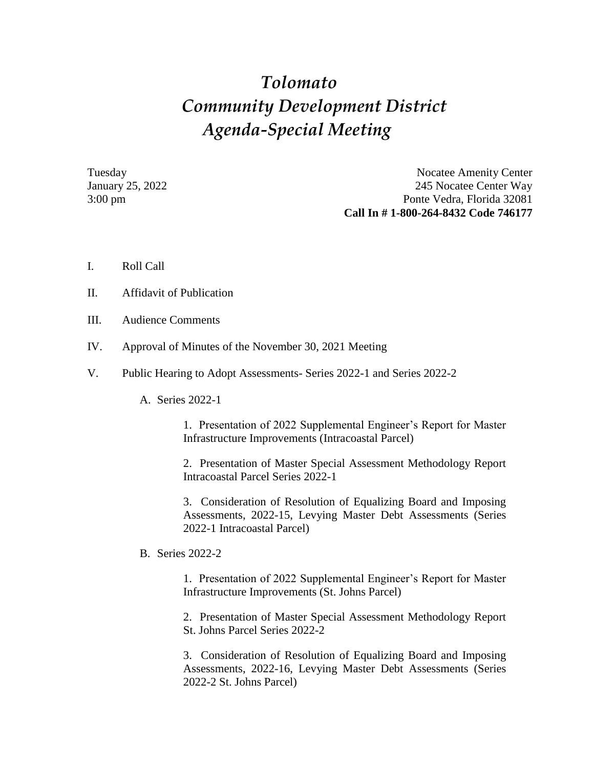## *Tolomato Community Development District Agenda-Special Meeting*

Tuesday Nocatee Amenity Center January 25, 2022 245 Nocatee Center Way 3:00 pm Ponte Vedra, Florida 32081 **Call In # 1-800-264-8432 Code 746177**

- I. Roll Call
- II. Affidavit of Publication
- III. Audience Comments
- IV. Approval of Minutes of the November 30, 2021 Meeting
- V. Public Hearing to Adopt Assessments- Series 2022-1 and Series 2022-2
	- A. Series 2022-1

1. Presentation of 2022 Supplemental Engineer's Report for Master Infrastructure Improvements (Intracoastal Parcel)

2. Presentation of Master Special Assessment Methodology Report Intracoastal Parcel Series 2022-1

3. Consideration of Resolution of Equalizing Board and Imposing Assessments, 2022-15, Levying Master Debt Assessments (Series 2022-1 Intracoastal Parcel)

B. Series 2022-2

1. Presentation of 2022 Supplemental Engineer's Report for Master Infrastructure Improvements (St. Johns Parcel)

2. Presentation of Master Special Assessment Methodology Report St. Johns Parcel Series 2022-2

3. Consideration of Resolution of Equalizing Board and Imposing Assessments, 2022-16, Levying Master Debt Assessments (Series 2022-2 St. Johns Parcel)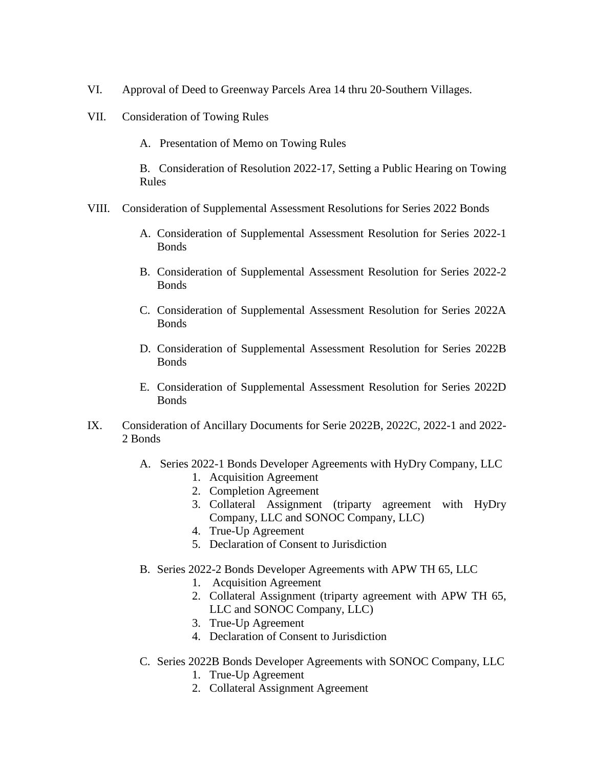- VI. Approval of Deed to Greenway Parcels Area 14 thru 20-Southern Villages.
- VII. Consideration of Towing Rules
	- A. Presentation of Memo on Towing Rules

B. Consideration of Resolution 2022-17, Setting a Public Hearing on Towing Rules

- VIII. Consideration of Supplemental Assessment Resolutions for Series 2022 Bonds
	- A. Consideration of Supplemental Assessment Resolution for Series 2022-1 **Bonds**
	- B. Consideration of Supplemental Assessment Resolution for Series 2022-2 Bonds
	- C. Consideration of Supplemental Assessment Resolution for Series 2022A **Bonds**
	- D. Consideration of Supplemental Assessment Resolution for Series 2022B **Bonds**
	- E. Consideration of Supplemental Assessment Resolution for Series 2022D **Bonds**
- IX. Consideration of Ancillary Documents for Serie 2022B, 2022C, 2022-1 and 2022- 2 Bonds
	- A. Series 2022-1 Bonds Developer Agreements with HyDry Company, LLC
		- 1. Acquisition Agreement
		- 2. Completion Agreement
		- 3. Collateral Assignment (triparty agreement with HyDry Company, LLC and SONOC Company, LLC)
		- 4. True-Up Agreement
		- 5. Declaration of Consent to Jurisdiction
	- B. Series 2022-2 Bonds Developer Agreements with APW TH 65, LLC
		- 1. Acquisition Agreement
		- 2. Collateral Assignment (triparty agreement with APW TH 65, LLC and SONOC Company, LLC)
		- 3. True-Up Agreement
		- 4. Declaration of Consent to Jurisdiction
	- C. Series 2022B Bonds Developer Agreements with SONOC Company, LLC
		- 1. True-Up Agreement
		- 2. Collateral Assignment Agreement